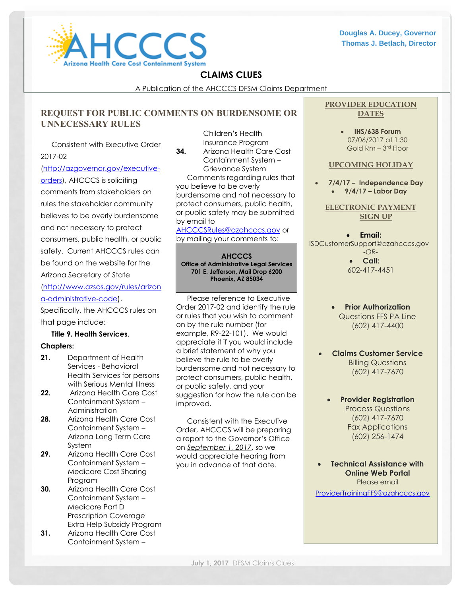

## **CLAIMS CLUES**

A Publication of the AHCCCS DFSM Claims Department

## **REQUEST FOR PUBLIC COMMENTS ON BURDENSOME OR UNNECESSARY RULES** Children's Health

Consistent with Executive Order 2017-02

#### [\(http://azgovernor.gov/executive-](http://azgovernor.gov/executive-orders)

[orders\)](http://azgovernor.gov/executive-orders), AHCCCS is soliciting comments from stakeholders on rules the stakeholder community believes to be overly burdensome and not necessary to protect consumers, public health, or public safety. Current AHCCCS rules can be found on the website for the Arizona Secretary of State

[\(http://www.azsos.gov/rules/arizon](http://www.azsos.gov/rules/arizona-administrative-code) [a-administrative-code\)](http://www.azsos.gov/rules/arizona-administrative-code).

Specifically, the AHCCCS rules on that page include:

## **Title 9. Health Services**,

## **Chapters:**

- **21.** Department of Health Services - Behavioral Health Services for persons with Serious Mental Illness
- **22.** Arizona Health Care Cost Containment System – Administration
- **28.** Arizona Health Care Cost Containment System – Arizona Long Term Care System
- **29.** Arizona Health Care Cost Containment System – Medicare Cost Sharing Program
- **30.** Arizona Health Care Cost Containment System – Medicare Part D Prescription Coverage Extra Help Subsidy Program
- **31.** Arizona Health Care Cost Containment System –

Insurance Program **34.** Arizona Health Care Cost Containment System – Grievance System Comments regarding rules that you believe to be overly burdensome and not necessary to protect consumers, public health, or public safety may be submitted by email to

[AHCCCSRules@azahcccs.gov](mailto:AHCCCSRules@azahcccs.gov) or by mailing your comments to:

**AHCCCS Office of Administrative Legal Services 701 E. Jefferson, Mail Drop 6200 Phoenix, AZ 85034**

Please reference to Executive Order 2017-02 and identify the rule or rules that you wish to comment on by the rule number (for example, R9-22-101). We would appreciate it if you would include a brief statement of why you believe the rule to be overly burdensome and not necessary to protect consumers, public health, or public safety, and your suggestion for how the rule can be improved.

Consistent with the Executive Order, AHCCCS will be preparing a report to the Governor's Office on *September 1, 2017*, so we would appreciate hearing from you in advance of that date.

## **PROVIDER EDUCATION DATES**

 **IHS/638 Forum** 07/06/2017 at 1:30 Gold Rm – 3 rd Floor

#### **UPCOMING HOLIDAY**

 **7/4/17 – Independence Day 9/4/17 – Labor Day**

**ELECTRONIC PAYMENT SIGN UP**

 **Email:** [ISDCustomerSupport@azahcccs.gov](mailto:ISDCustomerSupport@azahcccs.gov) *-OR-* **Call:** 602-417-4451

- **Prior Authorization** Questions FFS PA Line (602) 417-4400
- **Claims Customer Service** Billing Questions (602) 417-7670
	- **Provider Registration**  Process Questions (602) 417-7670 Fax Applications (602) 256-1474

 **Technical Assistance with Online Web Portal** Please email

[ProviderTrainingFFS@azahcccs.gov](mailto:ProviderTrainingFFS@azahcccs.gov)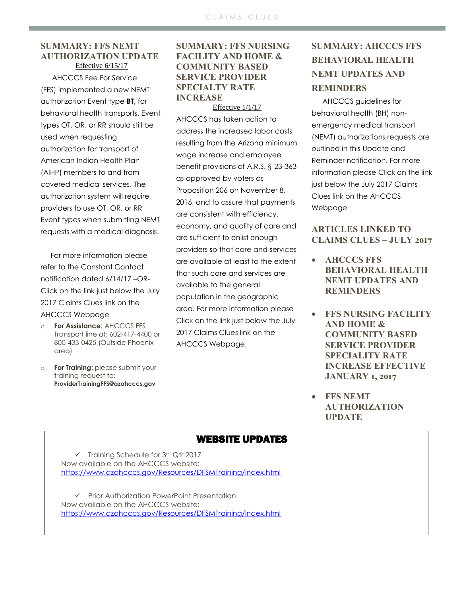## **SUMMARY: FFS NEMT AUTHORIZATION UPDATE** Effective 6/15/17

 AHCCCS Fee For Service (FFS) implemented a new NEMT authorization Event type **BT,** for behavioral health transports. Event types OT, OR, or RR should still be used when requesting authorization for transport of American Indian Health Plan (AIHP) members to and from covered medical services. The authorization system will require providers to use OT, OR, or RR Event types when submitting NEMT requests with a medical diagnosis.

 For more information please refer to the Constant Contact notification dated 6/14/17 –OR-Click on the link just below the July 2017 Claims Clues link on the AHCCCS Webpage

- o **For Assistance**: AHCCCS FFS Transport line at: 602-417-4400 or 800-433-0425 (Outside Phoenix area)
- **For Training: please submit your** training request to: **ProviderTrainingFFS@azahcccs.gov**

## **SUMMARY: FFS NURSING FACILITY AND HOME & COMMUNITY BASED SERVICE PROVIDER SPECIALTY RATE INCREASE** Effective 1/1/17

AHCCCS has taken action to address the increased labor costs resulting from the Arizona minimum wage increase and employee benefit provisions of A.R.S. § 23-363 as approved by voters as Proposition 206 on November 8, 2016, and to assure that payments are consistent with efficiency, economy, and quality of care and are sufficient to enlist enough providers so that care and services are available at least to the extent that such care and services are available to the general population in the geographic area. For more information please Click on the link just below the July 2017 Claims Clues link on the AHCCCS Webpage.

# **SUMMARY: AHCCCS FFS BEHAVIORAL HEALTH NEMT UPDATES AND REMINDERS**

AHCCCS guidelines for behavioral health (BH) nonemergency medical transport (NEMT) authorizations requests are outlined in this Update and Reminder notification. For more information please Click on the link just below the July 2017 Claims Clues link on the AHCCCS Webpage

## **ARTICLES LINKED TO CLAIMS CLUES – JULY 2017**

- **AHCCCS FFS BEHAVIORAL HEALTH NEMT UPDATES AND REMINDERS**
- **FFS NURSING FACILITY AND HOME & COMMUNITY BASED SERVICE PROVIDER SPECIALITY RATE INCREASE EFFECTIVE JANUARY 1, 2017**
- **FFS NEMT AUTHORIZATION UPDATE**

# WEBSITE UPDATES

 $\checkmark$  Training Schedule for 3rd Qtr 2017 Now available on the AHCCCS website: <https://www.azahcccs.gov/Resources/DFSMTraining/index.html>

 Prior Authorization PowerPoint Presentation Now available on the AHCCCS website: <https://www.azahcccs.gov/Resources/DFSMTraining/index.html>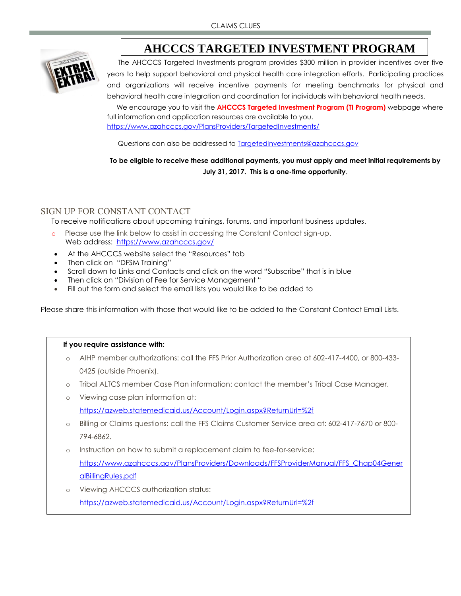



The AHCCCS Targeted Investments program provides \$300 million in provider incentives over five years to help support behavioral and physical health care integration efforts. Participating practices and organizations will receive incentive payments for meeting benchmarks for physical and behavioral health care integration and coordination for individuals with behavioral health needs.

 We encourage you to visit the **AHCCCS Targeted Investment Program (TI Program)** webpage where full information and application resources are available to you. https://www.azahcccs.gov/PlansProviders/TargetedInvestments/

Questions can also be addressed to **TargetedInvestments@azahcccs.gov** 

**To be eligible to receive these additional payments, you must apply and meet initial requirements by July 31, 2017. This is a one-time opportunity**.

## SIGN UP FOR CONSTANT CONTACT

To receive notifications about upcoming trainings, forums, and important business updates.

- o Please use the link below to assist in accessing the Constant Contact sign-up. Web address: <https://www.azahcccs.gov/>
- At the AHCCCS website select the "Resources" tab
- Then click on "DFSM Training"
- Scroll down to Links and Contacts and click on the word "Subscribe" that is in blue
- Then click on "Division of Fee for Service Management "
- Fill out the form and select the email lists you would like to be added to

Please share this information with those that would like to be added to the Constant Contact Email Lists.

## **If you require assistance with:**

- o AIHP member authorizations: call the FFS Prior Authorization area at 602-417-4400, or 800-433- 0425 (outside Phoenix).
- o Tribal ALTCS member Case Plan information: contact the member's Tribal Case Manager.
- o Viewing case plan information at: <https://azweb.statemedicaid.us/Account/Login.aspx?ReturnUrl=%2f>
- o Billing or Claims questions: call the FFS Claims Customer Service area at: 602-417-7670 or 800- 794-6862.
- o Instruction on how to submit a replacement claim to fee-for-service: [https://www.azahcccs.gov/PlansProviders/Downloads/FFSProviderManual/FFS\\_Chap04Gener](https://www.azahcccs.gov/PlansProviders/Downloads/FFSProviderManual/FFS_Chap04GeneralBillingRules.pdf) [alBillingRules.pdf](https://www.azahcccs.gov/PlansProviders/Downloads/FFSProviderManual/FFS_Chap04GeneralBillingRules.pdf)
- o Viewing AHCCCS authorization status: <https://azweb.statemedicaid.us/Account/Login.aspx?ReturnUrl=%2f>